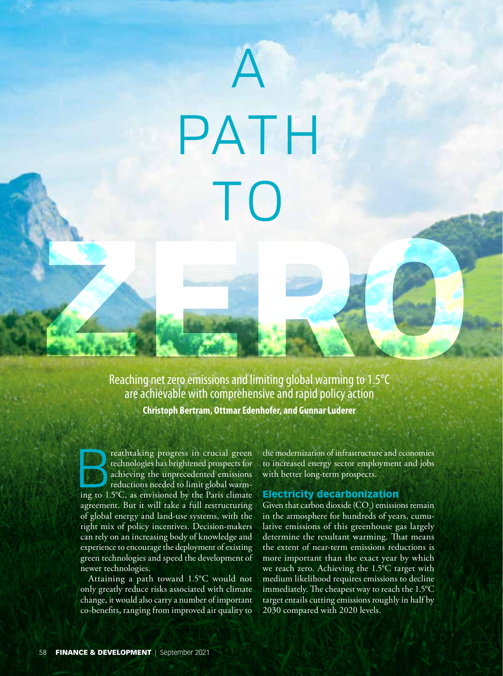# A PATH  $\overline{\phantom{a}}$

Reaching net zero emissions and limiting global warming to 1.5°C are achievable with comprehensive and rapid policy action **Christoph Bertram, Ottmar Edenhofer, and Gunnar Luderer** Reaching net zero emissions and limiting global warming to 1.5°C

reathtaking progress in crucial green<br>technologies has brightened prospects for<br>achieving the unprecedented emissions<br>reductions needed to limit global warm-<br>ing to 15°C, as envisioned by the Paris climate technologies has brightened prospects for achieving the unprecedented emissions reductions needed to limit global warming to 1.5°C, as envisioned by the Paris climate agreement. But it will take a full restructuring of global energy and land-use systems, with the right mix of policy incentives. Decision-makers can rely on an increasing body of knowledge and experience to encourage the deployment of existing green technologies and speed the development of newer technologies.

Attaining a path toward 1.5°C would not only greatly reduce risks associated with climate change, it would also carry a number of important co-benefits, ranging from improved air quality to the modernization of infrastructure and economies to increased energy sector employment and jobs with better long-term prospects.

#### Electricity decarbonization

Given that carbon dioxide (CO<sub>2</sub>) emissions remain in the atmosphere for hundreds of years, cumulative emissions of this greenhouse gas largely determine the resultant warming. That means the extent of near-term emissions reductions is more important than the exact year by which we reach zero. Achieving the 1.5°C target with medium likelihood requires emissions to decline immediately. The cheapest way to reach the 1.5°C target entails cutting emissions roughly in half by 2030 compared with 2020 levels.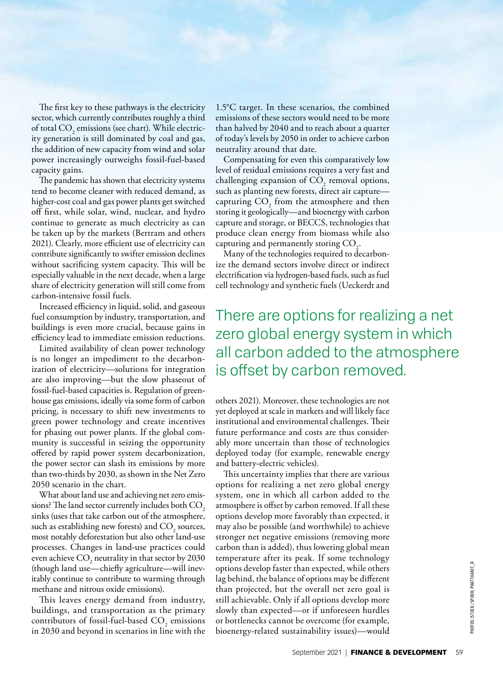The first key to these pathways is the electricity sector, which currently contributes roughly a third of total  $\mathrm{CO}_2$  emissions (see chart). While electricity generation is still dominated by coal and gas, the addition of new capacity from wind and solar power increasingly outweighs fossil-fuel-based capacity gains.

The pandemic has shown that electricity systems tend to become cleaner with reduced demand, as higher-cost coal and gas power plants get switched off first, while solar, wind, nuclear, and hydro continue to generate as much electricity as can be taken up by the markets (Bertram and others 2021). Clearly, more efficient use of electricity can contribute significantly to swifter emission declines without sacrificing system capacity. This will be especially valuable in the next decade, when a large share of electricity generation will still come from carbon-intensive fossil fuels.

Increased efficiency in liquid, solid, and gaseous fuel consumption by industry, transportation, and buildings is even more crucial, because gains in efficiency lead to immediate emission reductions.

Limited availability of clean power technology is no longer an impediment to the decarbonization of electricity—solutions for integration are also improving—but the slow phaseout of fossil-fuel-based capacities is. Regulation of greenhouse gas emissions, ideally via some form of carbon pricing, is necessary to shift new investments to green power technology and create incentives for phasing out power plants. If the global community is successful in seizing the opportunity offered by rapid power system decarbonization, the power sector can slash its emissions by more than two-thirds by 2030, as shown in the Net Zero 2050 scenario in the chart.

What about land use and achieving net zero emissions? The land sector currently includes both  $CO<sub>2</sub>$ sinks (uses that take carbon out of the atmosphere, such as establishing new forests) and  $\mathrm{CO}_2$  sources, most notably deforestation but also other land-use processes. Changes in land-use practices could even achieve  $\text{CO}_2$  neutrality in that sector by 2030 (though land use—chiefly agriculture—will inevitably continue to contribute to warming through methane and nitrous oxide emissions).

This leaves energy demand from industry, buildings, and transportation as the primary contributors of fossil-fuel-based  $\mathrm{CO}_2$  emissions in 2030 and beyond in scenarios in line with the

1.5°C target. In these scenarios, the combined emissions of these sectors would need to be more than halved by 2040 and to reach about a quarter of today's levels by 2050 in order to achieve carbon neutrality around that date.

Compensating for even this comparatively low level of residual emissions requires a very fast and challenging expansion of  $CO_2$  removal options, such as planting new forests, direct air capture capturing  $\mathrm{CO}_2$  from the atmosphere and then storing it geologically—and bioenergy with carbon capture and storage, or BECCS, technologies that produce clean energy from biomass while also capturing and permanently storing  $CO<sub>2</sub>$ .

Many of the technologies required to decarbonize the demand sectors involve direct or indirect electrification via hydrogen-based fuels, such as fuel cell technology and synthetic fuels (Ueckerdt and

## There are options for realizing a net zero global energy system in which be taken up by the markets (Bertram and others<br>
2021). Clearly, more efficient use of electricity can capturing and permanently storing Co<sub>2</sub>.<br>
contribute significantly to wifter emission declines Many of the technologies is offset by carbon removed.

others 2021). Moreover, these technologies are not yet deployed at scale in markets and will likely face institutional and environmental challenges. Their future performance and costs are thus considerably more uncertain than those of technologies deployed today (for example, renewable energy and battery-electric vehicles).

This uncertainty implies that there are various options for realizing a net zero global energy system, one in which all carbon added to the atmosphere is offset by carbon removed. If all these options develop more favorably than expected, it may also be possible (and worthwhile) to achieve stronger net negative emissions (removing more carbon than is added), thus lowering global mean temperature after its peak. If some technology options develop faster than expected, while others lag behind, the balance of options may be different than projected, but the overall net zero goal is still achievable. Only if all options develop more slowly than expected—or if unforeseen hurdles or bottlenecks cannot be overcome (for example, bioenergy-related sustainability issues)—would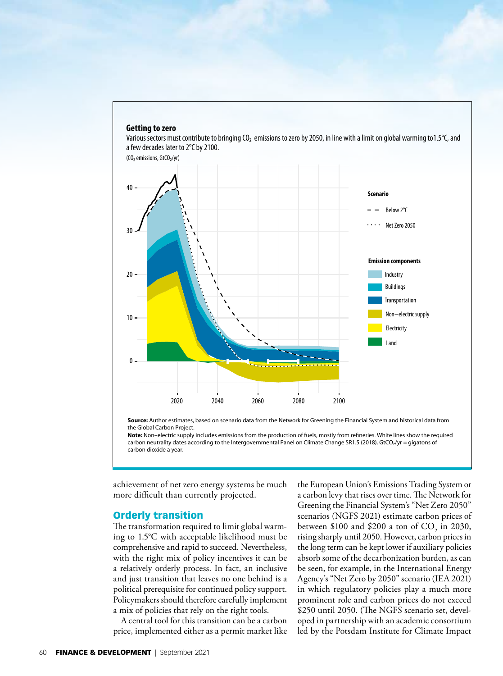

the Global Carbon Project.

**Note:** Non–electric supply includes emissions from the production of fuels, mostly from refineries. White lines show the required carbon neutrality dates according to the Intergovernmental Panel on Climate Change SR1.5 (2018). GtCO2/yr = gigatons of carbon dioxide a year.

achievement of net zero energy systems be much more difficult than currently projected.

#### Orderly transition

The transformation required to limit global warming to 1.5°C with acceptable likelihood must be comprehensive and rapid to succeed. Nevertheless, with the right mix of policy incentives it can be a relatively orderly process. In fact, an inclusive and just transition that leaves no one behind is a political prerequisite for continued policy support. Policymakers should therefore carefully implement a mix of policies that rely on the right tools.

A central tool for this transition can be a carbon price, implemented either as a permit market like the European Union's Emissions Trading System or a carbon levy that rises over time. The Network for Greening the Financial System's "Net Zero 2050" scenarios (NGFS 2021) estimate carbon prices of between \$100 and \$200 a ton of  $CO_2$  in 2030, rising sharply until 2050. However, carbon prices in the long term can be kept lower if auxiliary policies absorb some of the decarbonization burden, as can be seen, for example, in the International Energy Agency's "Net Zero by 2050" scenario (IEA 2021) in which regulatory policies play a much more prominent role and carbon prices do not exceed \$250 until 2050. (The NGFS scenario set, developed in partnership with an academic consortium led by the Potsdam Institute for Climate Impact